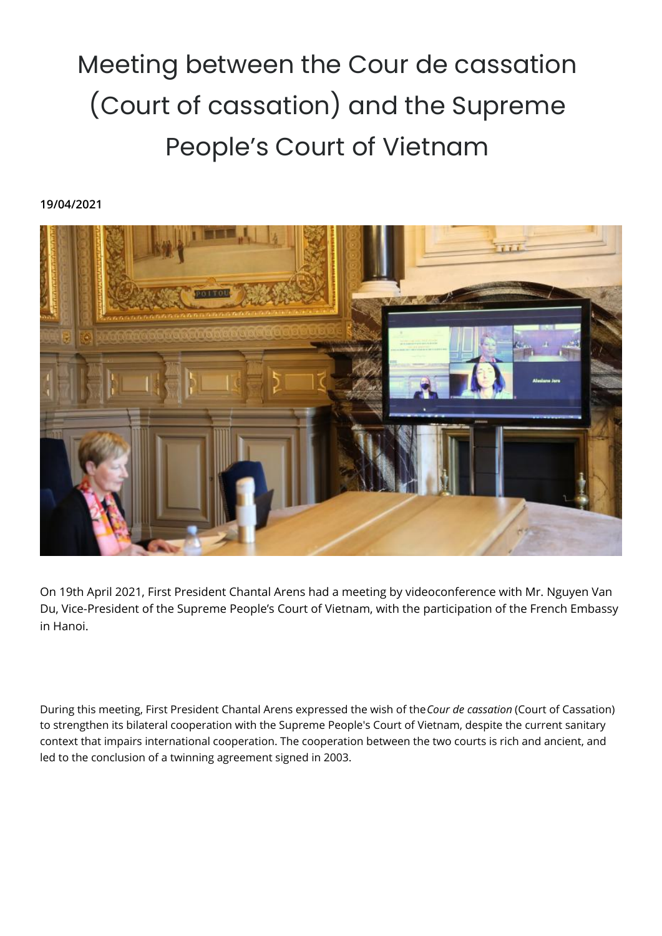## Meeting between the Cour de cassation (Court of cassation) and the Supreme People's Court of Vietnam

## **19/04/2021**



On 19th April 2021, First President Chantal Arens had a meeting by videoconference with Mr. Nguyen Van Du, Vice-President of the Supreme People's Court of Vietnam, with the participation of the French Embassy in Hanoi.

During this meeting, First President Chantal Arens expressed the wish of the *Cour de cassation* (Court of Cassation) to strengthen its bilateral cooperation with the Supreme People's Court of Vietnam, despite the current sanitary context that impairs international cooperation. The cooperation between the two courts is rich and ancient, and led to the conclusion of a twinning agreement signed in 2003.